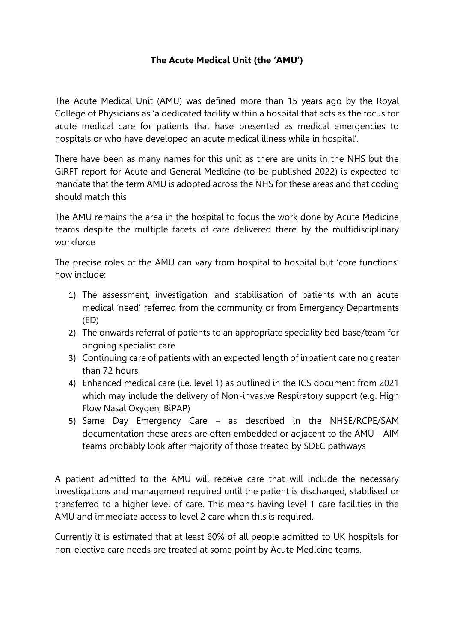# **The Acute Medical Unit (the 'AMU')**

The Acute Medical Unit (AMU) was defined more than 15 years ago by the Royal College of Physicians as 'a dedicated facility within a hospital that acts as the focus for acute medical care for patients that have presented as medical emergencies to hospitals or who have developed an acute medical illness while in hospital'.

There have been as many names for this unit as there are units in the NHS but the GiRFT report for Acute and General Medicine (to be published 2022) is expected to mandate that the term AMU is adopted across the NHS for these areas and that coding should match this

The AMU remains the area in the hospital to focus the work done by Acute Medicine teams despite the multiple facets of care delivered there by the multidisciplinary workforce

The precise roles of the AMU can vary from hospital to hospital but 'core functions' now include:

- 1) The assessment, investigation, and stabilisation of patients with an acute medical 'need' referred from the community or from Emergency Departments (ED)
- 2) The onwards referral of patients to an appropriate speciality bed base/team for ongoing specialist care
- 3) Continuing care of patients with an expected length of inpatient care no greater than 72 hours
- 4) Enhanced medical care (i.e. level 1) as outlined in the ICS document from 2021 which may include the delivery of Non-invasive Respiratory support (e.g. High Flow Nasal Oxygen, BiPAP)
- 5) Same Day Emergency Care as described in the NHSE/RCPE/SAM documentation these areas are often embedded or adjacent to the AMU - AIM teams probably look after majority of those treated by SDEC pathways

A patient admitted to the AMU will receive care that will include the necessary investigations and management required until the patient is discharged, stabilised or transferred to a higher level of care. This means having level 1 care facilities in the AMU and immediate access to level 2 care when this is required.

Currently it is estimated that at least 60% of all people admitted to UK hospitals for non-elective care needs are treated at some point by Acute Medicine teams.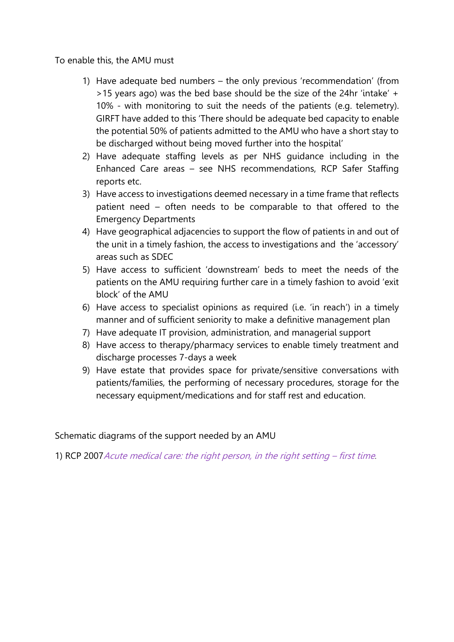To enable this, the AMU must

- 1) Have adequate bed numbers the only previous 'recommendation' (from >15 years ago) was the bed base should be the size of the 24hr 'intake' + 10% - with monitoring to suit the needs of the patients (e.g. telemetry). GIRFT have added to this 'There should be adequate bed capacity to enable the potential 50% of patients admitted to the AMU who have a short stay to be discharged without being moved further into the hospital'
- 2) Have adequate staffing levels as per NHS guidance including in the Enhanced Care areas – see NHS recommendations, RCP Safer Staffing reports etc.
- 3) Have access to investigations deemed necessary in a time frame that reflects patient need – often needs to be comparable to that offered to the Emergency Departments
- 4) Have geographical adjacencies to support the flow of patients in and out of the unit in a timely fashion, the access to investigations and the 'accessory' areas such as SDEC
- 5) Have access to sufficient 'downstream' beds to meet the needs of the patients on the AMU requiring further care in a timely fashion to avoid 'exit block' of the AMU
- 6) Have access to specialist opinions as required (i.e. 'in reach') in a timely manner and of sufficient seniority to make a definitive management plan
- 7) Have adequate IT provision, administration, and managerial support
- 8) Have access to therapy/pharmacy services to enable timely treatment and discharge processes 7-days a week
- 9) Have estate that provides space for private/sensitive conversations with patients/families, the performing of necessary procedures, storage for the necessary equipment/medications and for staff rest and education.

Schematic diagrams of the support needed by an AMU

1) RCP 2007[Acute medical care: the right person, in the right setting](https://www.acutemedicine.org.uk/wp-content/uploads/2014/04/RCP-Acute-Medicine-Task-Force-Report.pdf) – first time.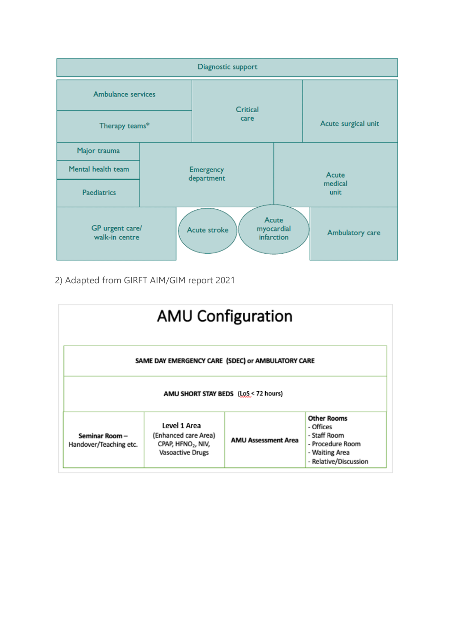

2) Adapted from GIRFT AIM/GIM report 2021

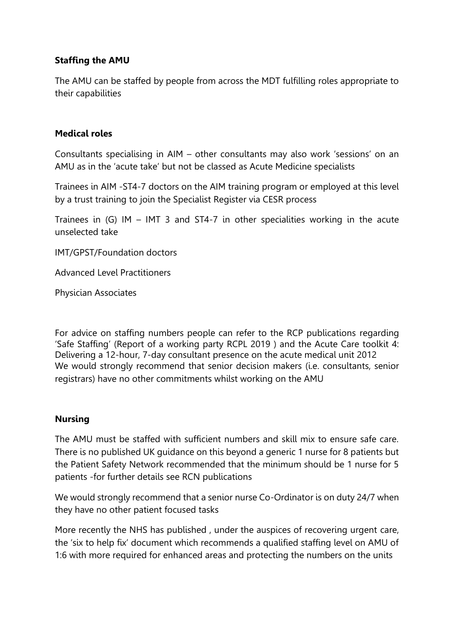### **Staffing the AMU**

The AMU can be staffed by people from across the MDT fulfilling roles appropriate to their capabilities

### **Medical roles**

Consultants specialising in AIM – other consultants may also work 'sessions' on an AMU as in the 'acute take' but not be classed as Acute Medicine specialists

Trainees in AIM -ST4-7 doctors on the AIM training program or employed at this level by a trust training to join the Specialist Register via CESR process

Trainees in (G) IM – IMT 3 and ST4-7 in other specialities working in the acute unselected take

IMT/GPST/Foundation doctors

Advanced Level Practitioners

Physician Associates

For advice on staffing numbers people can refer to the RCP publications regarding 'Safe Staffing' (Report of a working party RCPL 2019 ) and the Acute Care toolkit 4: Delivering a 12-hour, 7-day consultant presence on the acute medical unit 2012 We would strongly recommend that senior decision makers (i.e. consultants, senior registrars) have no other commitments whilst working on the AMU

#### **Nursing**

The AMU must be staffed with sufficient numbers and skill mix to ensure safe care. There is no published UK guidance on this beyond a generic 1 nurse for 8 patients but the Patient Safety Network recommended that the minimum should be 1 nurse for 5 patients -for further details see RCN publications

We would strongly recommend that a senior nurse Co-Ordinator is on duty 24/7 when they have no other patient focused tasks

More recently the NHS has published , under the auspices of recovering urgent care, the 'six to help fix' document which recommends a qualified staffing level on AMU of 1:6 with more required for enhanced areas and protecting the numbers on the units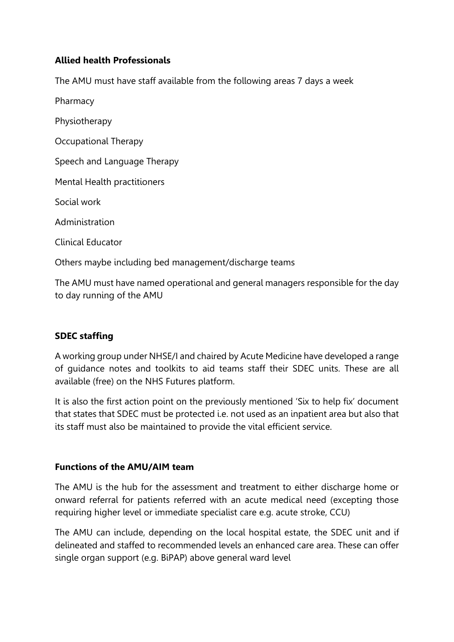### **Allied health Professionals**

The AMU must have staff available from the following areas 7 days a week

Pharmacy Physiotherapy Occupational Therapy Speech and Language Therapy Mental Health practitioners Social work Administration Clinical Educator Others maybe including bed management/discharge teams

The AMU must have named operational and general managers responsible for the day to day running of the AMU

# **SDEC staffing**

A working group under NHSE/I and chaired by Acute Medicine have developed a range of guidance notes and toolkits to aid teams staff their SDEC units. These are all available (free) on the NHS Futures platform.

It is also the first action point on the previously mentioned 'Six to help fix' document that states that SDEC must be protected i.e. not used as an inpatient area but also that its staff must also be maintained to provide the vital efficient service.

#### **Functions of the AMU/AIM team**

The AMU is the hub for the assessment and treatment to either discharge home or onward referral for patients referred with an acute medical need (excepting those requiring higher level or immediate specialist care e.g. acute stroke, CCU)

The AMU can include, depending on the local hospital estate, the SDEC unit and if delineated and staffed to recommended levels an enhanced care area. These can offer single organ support (e.g. BiPAP) above general ward level